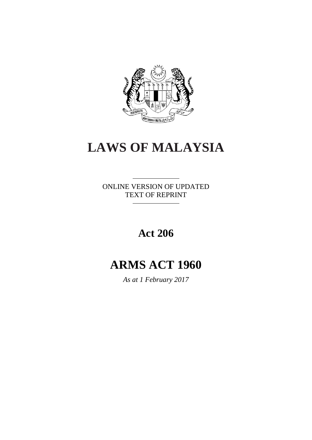

# **LAWS OF MALAYSIA**

ONLINE VERSION OF UPDATED TEXT OF REPRINT

# **Act 206**

# **ARMS ACT 1960**

*As at 1 February 2017*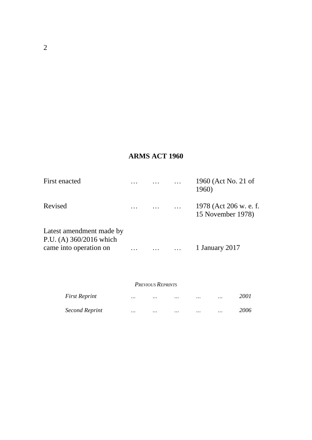# **ARMS ACT 1960**

| First enacted                                         |  | 1960 (Act No. 21 of<br>1960)                |
|-------------------------------------------------------|--|---------------------------------------------|
| Revised                                               |  | 1978 (Act 206 w. e. f.<br>15 November 1978) |
| Latest amendment made by<br>P.U. (A) $360/2016$ which |  |                                             |
| came into operation on                                |  | 1 January 2017                              |

#### *PREVIOUS REPRINTS*

| First Reprint         | $\cdots$ | $\cdots$ | $\ddotsc$ | $\cdots$ | $\cdots$ | 2001 |
|-----------------------|----------|----------|-----------|----------|----------|------|
| <b>Second Reprint</b> | $\cdots$ | $\cdots$ | $\ddotsc$ | $\cdots$ | $\cdots$ | 2006 |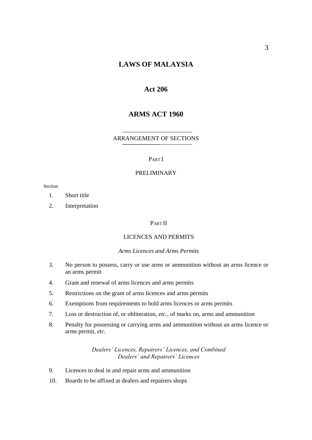## **LAWS OF MALAYSIA**

#### **Act 206**

## **ARMS ACT 1960**

#### ARRANGEMENT OF SECTIONS

#### PART I

#### PRELIMINARY

Section

- 1. Short title
- 2. Interpretation

#### PART II

#### LICENCES AND PERMITS

#### *Arms Licences and Arms Permits*

- 3. No person to possess, carry or use arms or ammunition without an arms licence or an arms permit
- 4. Grant and renewal of arms licences and arms permits
- 5. Restrictions on the grant of arms licences and arms permits
- 6. Exemptions from requirements to hold arms licences or arms permits
- 7. Loss or destruction of, or obliteration, *etc.*, of marks on, arms and ammunition
- 8. Penalty for possessing or carrying arms and ammunition without an arms licence or arms permit, *etc.*

*Dealers' Licences, Repairers' Licences, and Combined Dealers' and Repairers' Licences*

- 9. Licences to deal in and repair arms and ammunition
- 10. Boards to be affixed at dealers and repairers shops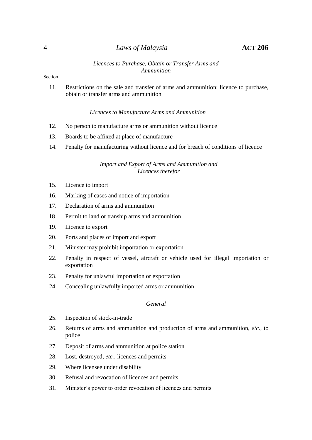#### 4 *Laws of Malaysia* **ACT 206**

#### *Licences to Purchase, Obtain or Transfer Arms and Ammunition*

#### Section

11. Restrictions on the sale and transfer of arms and ammunition; licence to purchase, obtain or transfer arms and ammunition

#### *Licences to Manufacture Arms and Ammunition*

- 12. No person to manufacture arms or ammunition without licence
- 13. Boards to be affixed at place of manufacture
- 14. Penalty for manufacturing without licence and for breach of conditions of licence

#### *Import and Export of Arms and Ammunition and Licences therefor*

- 15. Licence to import
- 16. Marking of cases and notice of importation
- 17. Declaration of arms and ammunition
- 18. Permit to land or tranship arms and ammunition
- 19. Licence to export
- 20. Ports and places of import and export
- 21. Minister may prohibit importation or exportation
- 22. Penalty in respect of vessel, aircraft or vehicle used for illegal importation or exportation
- 23. Penalty for unlawful importation or exportation
- 24. Concealing unlawfully imported arms or ammunition

#### *General*

- 25. Inspection of stock-in-trade
- 26. Returns of arms and ammunition and production of arms and ammunition, *etc.*, to police
- 27. Deposit of arms and ammunition at police station
- 28. Lost, destroyed, *etc.*, licences and permits
- 29. Where licensee under disability
- 30. Refusal and revocation of licences and permits
- 31. Minister's power to order revocation of licences and permits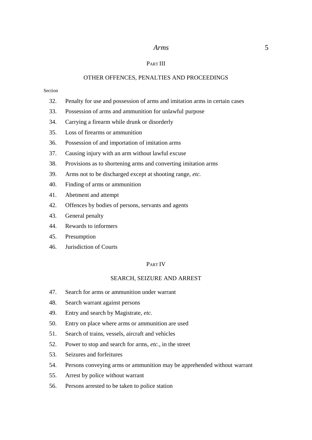#### PART III

#### OTHER OFFENCES, PENALTIES AND PROCEEDINGS

#### Section

- 32. Penalty for use and possession of arms and imitation arms in certain cases
- 33. Possession of arms and ammunition for unlawful purpose
- 34. Carrying a firearm while drunk or disorderly
- 35. Loss of firearms or ammunition
- 36. Possession of and importation of imitation arms
- 37. Causing injury with an arm without lawful excuse
- 38. Provisions as to shortening arms and converting imitation arms
- 39. Arms not to be discharged except at shooting range, *etc.*
- 40. Finding of arms or ammunition
- 41. Abetment and attempt
- 42. Offences by bodies of persons, servants and agents
- 43. General penalty
- 44. Rewards to informers
- 45. Presumption
- 46. Jurisdiction of Courts

#### PART IV

#### SEARCH, SEIZURE AND ARREST

- 47. Search for arms or ammunition under warrant
- 48. Search warrant against persons
- 49. Entry and search by Magistrate, *etc.*
- 50. Entry on place where arms or ammunition are used
- 51. Search of trains, vessels, aircraft and vehicles
- 52. Power to stop and search for arms, *etc.*, in the street
- 53. Seizures and forfeitures
- 54. Persons conveying arms or ammunition may be apprehended without warrant
- 55. Arrest by police without warrant
- 56. Persons arrested to be taken to police station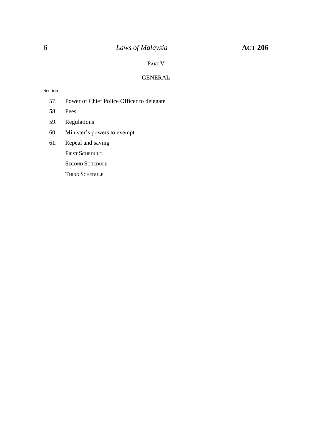# 6 *Laws of Malaysia* **ACT 206**

#### PART V

#### GENERAL

#### Section

- 57. Power of Chief Police Officer to delegate
- 58. Fees
- 59. Regulations
- 60. Minister's powers to exempt
- 61. Repeal and saving

FIRST SCHEDULE

SECOND SCHEDULE

THIRD SCHEDULE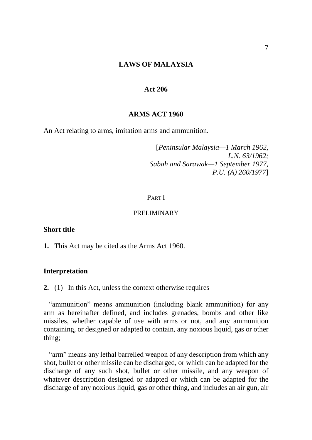#### **LAWS OF MALAYSIA**

#### **Act 206**

#### **ARMS ACT 1960**

An Act relating to arms, imitation arms and ammunition.

[*Peninsular Malaysia—1 March 1962, L.N. 63/1962; Sabah and Sarawak—1 September 1977, P.U. (A) 260/1977*]

#### PART I

#### PRELIMINARY

#### **Short title**

**1.** This Act may be cited as the Arms Act 1960.

## **Interpretation**

**2.** (1) In this Act, unless the context otherwise requires—

"ammunition" means ammunition (including blank ammunition) for any arm as hereinafter defined, and includes grenades, bombs and other like missiles, whether capable of use with arms or not, and any ammunition containing, or designed or adapted to contain, any noxious liquid, gas or other thing;

"arm" means any lethal barrelled weapon of any description from which any shot, bullet or other missile can be discharged, or which can be adapted for the discharge of any such shot, bullet or other missile, and any weapon of whatever description designed or adapted or which can be adapted for the discharge of any noxious liquid, gas or other thing, and includes an air gun, air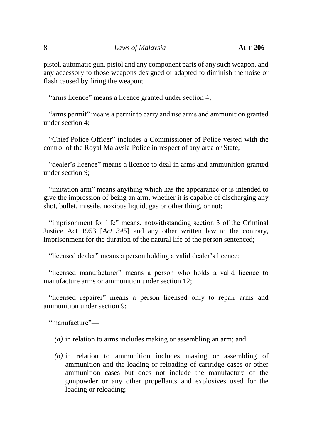pistol, automatic gun, pistol and any component parts of any such weapon, and any accessory to those weapons designed or adapted to diminish the noise or flash caused by firing the weapon;

"arms licence" means a licence granted under section 4;

"arms permit" means a permit to carry and use arms and ammunition granted under section 4;

"Chief Police Officer" includes a Commissioner of Police vested with the control of the Royal Malaysia Police in respect of any area or State;

"dealer's licence" means a licence to deal in arms and ammunition granted under section 9;

"imitation arm" means anything which has the appearance or is intended to give the impression of being an arm, whether it is capable of discharging any shot, bullet, missile, noxious liquid, gas or other thing, or not;

"imprisonment for life" means, notwithstanding section 3 of the Criminal Justice Act 1953 [*Act 345*] and any other written law to the contrary, imprisonment for the duration of the natural life of the person sentenced;

"licensed dealer" means a person holding a valid dealer's licence;

"licensed manufacturer" means a person who holds a valid licence to manufacture arms or ammunition under section 12;

"licensed repairer" means a person licensed only to repair arms and ammunition under section 9;

"manufacture"—

- *(a)* in relation to arms includes making or assembling an arm; and
- *(b)* in relation to ammunition includes making or assembling of ammunition and the loading or reloading of cartridge cases or other ammunition cases but does not include the manufacture of the gunpowder or any other propellants and explosives used for the loading or reloading;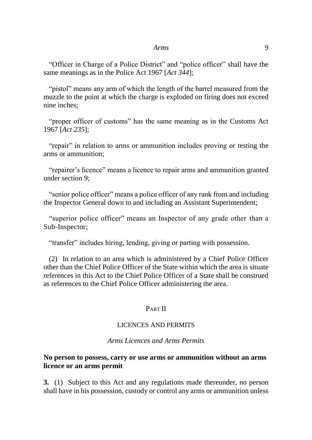"Officer in Charge of a Police District" and "police officer" shall have the same meanings as in the Police Act 1967 [*Act 344*];

"pistol" means any arm of which the length of the barrel measured from the muzzle to the point at which the charge is exploded on firing does not exceed nine inches;

"proper officer of customs" has the same meaning as in the Customs Act 1967 [*Act 235*];

"repair" in relation to arms or ammunition includes proving or testing the arms or ammunition;

"repairer's licence" means a licence to repair arms and ammunition granted under section 9;

"senior police officer" means a police officer of any rank from and including the Inspector General down to and including an Assistant Superintendent;

"superior police officer" means an Inspector of any grade other than a Sub-Inspector;

"transfer" includes hiring, lending, giving or parting with possession.

(2) In relation to an area which is administered by a Chief Police Officer other than the Chief Police Officer of the State within which the area is situate references in this Act to the Chief Police Officer of a State shall be construed as references to the Chief Police Officer administering the area.

## PART II

## LICENCES AND PERMITS

#### *Arms Licences and Arms Permits*

## **No person to possess, carry or use arms or ammunition without an arms licence or an arms permit**

**3.** (1) Subject to this Act and any regulations made thereunder, no person shall have in his possession, custody or control any arms or ammunition unless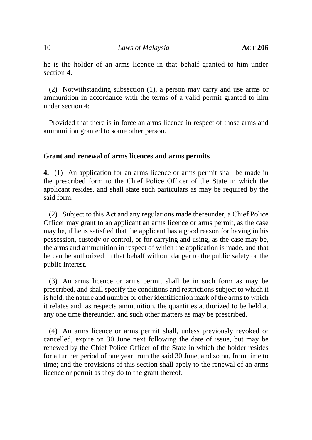10 *Laws of Malaysia* **ACT** 206

he is the holder of an arms licence in that behalf granted to him under section 4.

(2) Notwithstanding subsection (1), a person may carry and use arms or ammunition in accordance with the terms of a valid permit granted to him under section 4:

Provided that there is in force an arms licence in respect of those arms and ammunition granted to some other person.

## **Grant and renewal of arms licences and arms permits**

**4.** (1) An application for an arms licence or arms permit shall be made in the prescribed form to the Chief Police Officer of the State in which the applicant resides, and shall state such particulars as may be required by the said form.

(2) Subject to this Act and any regulations made thereunder, a Chief Police Officer may grant to an applicant an arms licence or arms permit, as the case may be, if he is satisfied that the applicant has a good reason for having in his possession, custody or control, or for carrying and using, as the case may be, the arms and ammunition in respect of which the application is made, and that he can be authorized in that behalf without danger to the public safety or the public interest.

(3) An arms licence or arms permit shall be in such form as may be prescribed, and shall specify the conditions and restrictions subject to which it is held, the nature and number or other identification mark of the arms to which it relates and, as respects ammunition, the quantities authorized to be held at any one time thereunder, and such other matters as may be prescribed.

(4) An arms licence or arms permit shall, unless previously revoked or cancelled, expire on 30 June next following the date of issue, but may be renewed by the Chief Police Officer of the State in which the holder resides for a further period of one year from the said 30 June, and so on, from time to time; and the provisions of this section shall apply to the renewal of an arms licence or permit as they do to the grant thereof.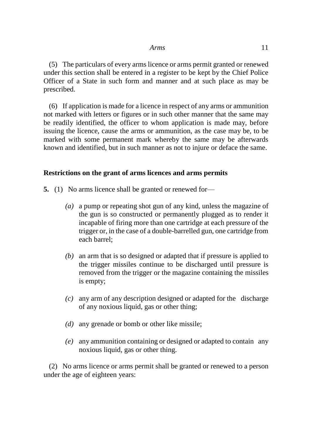(5) The particulars of every arms licence or arms permit granted or renewed under this section shall be entered in a register to be kept by the Chief Police Officer of a State in such form and manner and at such place as may be prescribed.

(6) If application is made for a licence in respect of any arms or ammunition not marked with letters or figures or in such other manner that the same may be readily identified, the officer to whom application is made may, before issuing the licence, cause the arms or ammunition, as the case may be, to be marked with some permanent mark whereby the same may be afterwards known and identified, but in such manner as not to injure or deface the same.

## **Restrictions on the grant of arms licences and arms permits**

- **5.** (1) No arms licence shall be granted or renewed for—
	- *(a)* a pump or repeating shot gun of any kind, unless the magazine of the gun is so constructed or permanently plugged as to render it incapable of firing more than one cartridge at each pressure of the trigger or, in the case of a double-barrelled gun, one cartridge from each barrel;
	- *(b)* an arm that is so designed or adapted that if pressure is applied to the trigger missiles continue to be discharged until pressure is removed from the trigger or the magazine containing the missiles is empty;
	- *(c)* any arm of any description designed or adapted for the discharge of any noxious liquid, gas or other thing;
	- *(d)* any grenade or bomb or other like missile;
	- *(e)* any ammunition containing or designed or adapted to contain any noxious liquid, gas or other thing.

(2) No arms licence or arms permit shall be granted or renewed to a person under the age of eighteen years: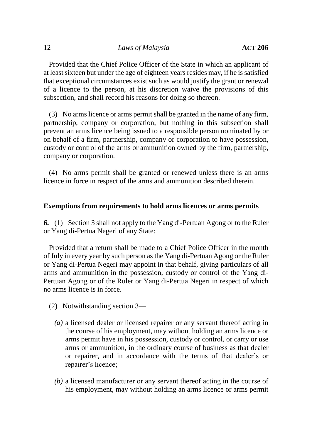Provided that the Chief Police Officer of the State in which an applicant of at least sixteen but under the age of eighteen years resides may, if he is satisfied that exceptional circumstances exist such as would justify the grant or renewal of a licence to the person, at his discretion waive the provisions of this subsection, and shall record his reasons for doing so thereon.

(3) No arms licence or arms permit shall be granted in the name of any firm, partnership, company or corporation, but nothing in this subsection shall prevent an arms licence being issued to a responsible person nominated by or on behalf of a firm, partnership, company or corporation to have possession, custody or control of the arms or ammunition owned by the firm, partnership, company or corporation.

(4) No arms permit shall be granted or renewed unless there is an arms licence in force in respect of the arms and ammunition described therein.

## **Exemptions from requirements to hold arms licences or arms permits**

**6.** (1) Section 3 shall not apply to the Yang di-Pertuan Agong or to the Ruler or Yang di-Pertua Negeri of any State:

Provided that a return shall be made to a Chief Police Officer in the month of July in every year by such person as the Yang di-Pertuan Agong or the Ruler or Yang di-Pertua Negeri may appoint in that behalf, giving particulars of all arms and ammunition in the possession, custody or control of the Yang di-Pertuan Agong or of the Ruler or Yang di-Pertua Negeri in respect of which no arms licence is in force.

- (2) Notwithstanding section 3—
	- *(a)* a licensed dealer or licensed repairer or any servant thereof acting in the course of his employment, may without holding an arms licence or arms permit have in his possession, custody or control, or carry or use arms or ammunition, in the ordinary course of business as that dealer or repairer, and in accordance with the terms of that dealer's or repairer's licence;
	- *(b)* a licensed manufacturer or any servant thereof acting in the course of his employment, may without holding an arms licence or arms permit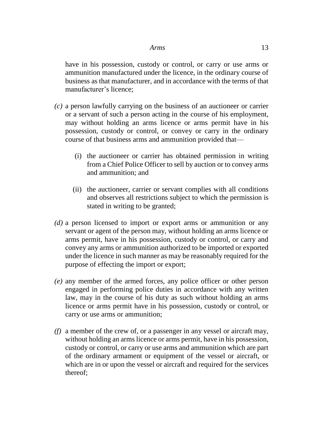have in his possession, custody or control, or carry or use arms or ammunition manufactured under the licence, in the ordinary course of business as that manufacturer, and in accordance with the terms of that manufacturer's licence;

- *(c)* a person lawfully carrying on the business of an auctioneer or carrier or a servant of such a person acting in the course of his employment, may without holding an arms licence or arms permit have in his possession, custody or control, or convey or carry in the ordinary course of that business arms and ammunition provided that—
	- (i) the auctioneer or carrier has obtained permission in writing from a Chief Police Officer to sell by auction or to convey arms and ammunition; and
	- (ii) the auctioneer, carrier or servant complies with all conditions and observes all restrictions subject to which the permission is stated in writing to be granted;
- *(d)* a person licensed to import or export arms or ammunition or any servant or agent of the person may, without holding an arms licence or arms permit, have in his possession, custody or control, or carry and convey any arms or ammunition authorized to be imported or exported under the licence in such manner as may be reasonably required for the purpose of effecting the import or export;
- *(e)* any member of the armed forces, any police officer or other person engaged in performing police duties in accordance with any written law, may in the course of his duty as such without holding an arms licence or arms permit have in his possession, custody or control, or carry or use arms or ammunition;
- *(f)* a member of the crew of, or a passenger in any vessel or aircraft may, without holding an arms licence or arms permit, have in his possession, custody or control, or carry or use arms and ammunition which are part of the ordinary armament or equipment of the vessel or aircraft, or which are in or upon the vessel or aircraft and required for the services thereof;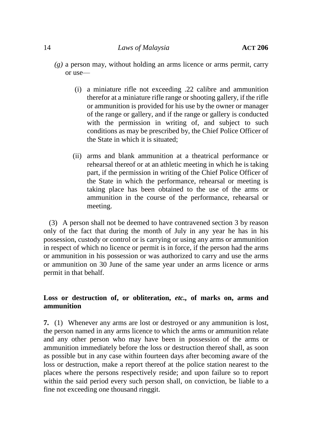#### 14 *Laws of Malaysia* **ACT 206**

- *(g)* a person may, without holding an arms licence or arms permit, carry or use—
	- (i) a miniature rifle not exceeding .22 calibre and ammunition therefor at a miniature rifle range or shooting gallery, if the rifle or ammunition is provided for his use by the owner or manager of the range or gallery, and if the range or gallery is conducted with the permission in writing of, and subject to such conditions as may be prescribed by, the Chief Police Officer of the State in which it is situated;
	- (ii) arms and blank ammunition at a theatrical performance or rehearsal thereof or at an athletic meeting in which he is taking part, if the permission in writing of the Chief Police Officer of the State in which the performance, rehearsal or meeting is taking place has been obtained to the use of the arms or ammunition in the course of the performance, rehearsal or meeting.

(3) A person shall not be deemed to have contravened section 3 by reason only of the fact that during the month of July in any year he has in his possession, custody or control or is carrying or using any arms or ammunition in respect of which no licence or permit is in force, if the person had the arms or ammunition in his possession or was authorized to carry and use the arms or ammunition on 30 June of the same year under an arms licence or arms permit in that behalf.

# **Loss or destruction of, or obliteration,** *etc.,* **of marks on, arms and ammunition**

**7.** (1) Whenever any arms are lost or destroyed or any ammunition is lost, the person named in any arms licence to which the arms or ammunition relate and any other person who may have been in possession of the arms or ammunition immediately before the loss or destruction thereof shall, as soon as possible but in any case within fourteen days after becoming aware of the loss or destruction, make a report thereof at the police station nearest to the places where the persons respectively reside; and upon failure so to report within the said period every such person shall, on conviction, be liable to a fine not exceeding one thousand ringgit.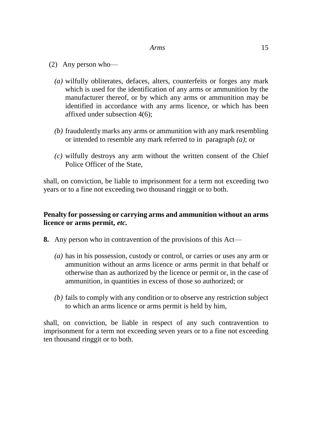- (2) Any person who—
	- *(a)* wilfully obliterates, defaces, alters, counterfeits or forges any mark which is used for the identification of any arms or ammunition by the manufacturer thereof, or by which any arms or ammunition may be identified in accordance with any arms licence, or which has been affixed under subsection 4(6);
	- *(b)* fraudulently marks any arms or ammunition with any mark resembling or intended to resemble any mark referred to in paragraph *(a)*; or
	- *(c)* wilfully destroys any arm without the written consent of the Chief Police Officer of the State,

shall, on conviction, be liable to imprisonment for a term not exceeding two years or to a fine not exceeding two thousand ringgit or to both.

# **Penalty for possessing or carrying arms and ammunition without an arms licence or arms permit,** *etc.*

- **8.** Any person who in contravention of the provisions of this Act—
	- *(a)* has in his possession, custody or control, or carries or uses any arm or ammunition without an arms licence or arms permit in that behalf or otherwise than as authorized by the licence or permit or, in the case of ammunition, in quantities in excess of those so authorized; or
	- *(b)* fails to comply with any condition or to observe any restriction subject to which an arms licence or arms permit is held by him,

shall, on conviction, be liable in respect of any such contravention to imprisonment for a term not exceeding seven years or to a fine not exceeding ten thousand ringgit or to both.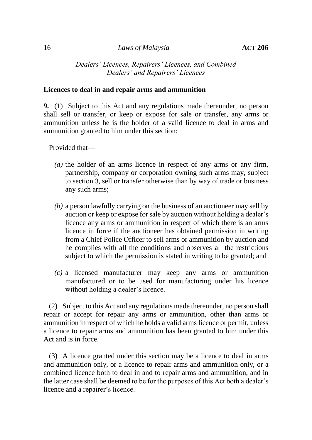*Dealers' Licences, Repairers' Licences, and Combined Dealers' and Repairers' Licences*

#### **Licences to deal in and repair arms and ammunition**

**9.** (1) Subject to this Act and any regulations made thereunder, no person shall sell or transfer, or keep or expose for sale or transfer, any arms or ammunition unless he is the holder of a valid licence to deal in arms and ammunition granted to him under this section:

Provided that—

- *(a)* the holder of an arms licence in respect of any arms or any firm, partnership, company or corporation owning such arms may, subject to section 3, sell or transfer otherwise than by way of trade or business any such arms;
- *(b)* a person lawfully carrying on the business of an auctioneer may sell by auction or keep or expose for sale by auction without holding a dealer's licence any arms or ammunition in respect of which there is an arms licence in force if the auctioneer has obtained permission in writing from a Chief Police Officer to sell arms or ammunition by auction and he complies with all the conditions and observes all the restrictions subject to which the permission is stated in writing to be granted; and
- *(c)* a licensed manufacturer may keep any arms or ammunition manufactured or to be used for manufacturing under his licence without holding a dealer's licence.

(2) Subject to this Act and any regulations made thereunder, no person shall repair or accept for repair any arms or ammunition, other than arms or ammunition in respect of which he holds a valid arms licence or permit, unless a licence to repair arms and ammunition has been granted to him under this Act and is in force.

(3) A licence granted under this section may be a licence to deal in arms and ammunition only, or a licence to repair arms and ammunition only, or a combined licence both to deal in and to repair arms and ammunition, and in the latter case shall be deemed to be for the purposes of this Act both a dealer's licence and a repairer's licence.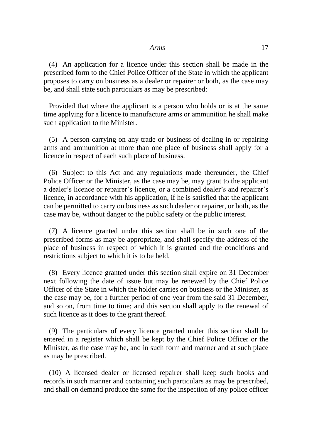(4) An application for a licence under this section shall be made in the prescribed form to the Chief Police Officer of the State in which the applicant proposes to carry on business as a dealer or repairer or both, as the case may be, and shall state such particulars as may be prescribed:

Provided that where the applicant is a person who holds or is at the same time applying for a licence to manufacture arms or ammunition he shall make such application to the Minister.

(5) A person carrying on any trade or business of dealing in or repairing arms and ammunition at more than one place of business shall apply for a licence in respect of each such place of business.

(6) Subject to this Act and any regulations made thereunder, the Chief Police Officer or the Minister, as the case may be, may grant to the applicant a dealer's licence or repairer's licence, or a combined dealer's and repairer's licence, in accordance with his application, if he is satisfied that the applicant can be permitted to carry on business as such dealer or repairer, or both, as the case may be, without danger to the public safety or the public interest.

(7) A licence granted under this section shall be in such one of the prescribed forms as may be appropriate, and shall specify the address of the place of business in respect of which it is granted and the conditions and restrictions subject to which it is to be held.

(8) Every licence granted under this section shall expire on 31 December next following the date of issue but may be renewed by the Chief Police Officer of the State in which the holder carries on business or the Minister, as the case may be, for a further period of one year from the said 31 December, and so on, from time to time; and this section shall apply to the renewal of such licence as it does to the grant thereof.

(9) The particulars of every licence granted under this section shall be entered in a register which shall be kept by the Chief Police Officer or the Minister, as the case may be, and in such form and manner and at such place as may be prescribed.

(10) A licensed dealer or licensed repairer shall keep such books and records in such manner and containing such particulars as may be prescribed, and shall on demand produce the same for the inspection of any police officer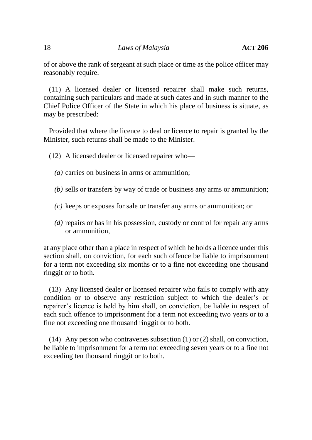of or above the rank of sergeant at such place or time as the police officer may reasonably require.

(11) A licensed dealer or licensed repairer shall make such returns, containing such particulars and made at such dates and in such manner to the Chief Police Officer of the State in which his place of business is situate, as may be prescribed:

Provided that where the licence to deal or licence to repair is granted by the Minister, such returns shall be made to the Minister.

(12) A licensed dealer or licensed repairer who—

- *(a)* carries on business in arms or ammunition;
- *(b)* sells or transfers by way of trade or business any arms or ammunition;
- *(c)* keeps or exposes for sale or transfer any arms or ammunition; or
- *(d)* repairs or has in his possession, custody or control for repair any arms or ammunition,

at any place other than a place in respect of which he holds a licence under this section shall, on conviction, for each such offence be liable to imprisonment for a term not exceeding six months or to a fine not exceeding one thousand ringgit or to both.

(13) Any licensed dealer or licensed repairer who fails to comply with any condition or to observe any restriction subject to which the dealer's or repairer's licence is held by him shall, on conviction, be liable in respect of each such offence to imprisonment for a term not exceeding two years or to a fine not exceeding one thousand ringgit or to both.

(14) Any person who contravenes subsection (1) or (2) shall, on conviction, be liable to imprisonment for a term not exceeding seven years or to a fine not exceeding ten thousand ringgit or to both.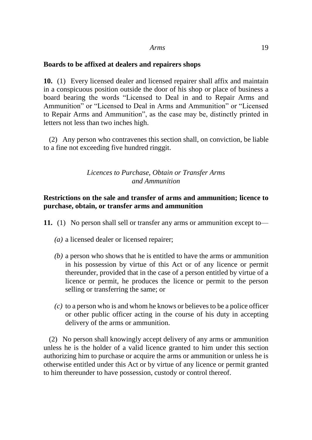## **Boards to be affixed at dealers and repairers shops**

**10.** (1) Every licensed dealer and licensed repairer shall affix and maintain in a conspicuous position outside the door of his shop or place of business a board bearing the words "Licensed to Deal in and to Repair Arms and Ammunition" or "Licensed to Deal in Arms and Ammunition" or "Licensed to Repair Arms and Ammunition", as the case may be, distinctly printed in letters not less than two inches high.

(2) Any person who contravenes this section shall, on conviction, be liable to a fine not exceeding five hundred ringgit.

# *Licences to Purchase, Obtain or Transfer Arms and Ammunition*

# **Restrictions on the sale and transfer of arms and ammunition; licence to purchase, obtain, or transfer arms and ammunition**

- **11.** (1) No person shall sell or transfer any arms or ammunition except to—
	- *(a)* a licensed dealer or licensed repairer;
	- *(b)* a person who shows that he is entitled to have the arms or ammunition in his possession by virtue of this Act or of any licence or permit thereunder, provided that in the case of a person entitled by virtue of a licence or permit, he produces the licence or permit to the person selling or transferring the same; or
	- *(c)* to a person who is and whom he knows or believes to be a police officer or other public officer acting in the course of his duty in accepting delivery of the arms or ammunition.

(2) No person shall knowingly accept delivery of any arms or ammunition unless he is the holder of a valid licence granted to him under this section authorizing him to purchase or acquire the arms or ammunition or unless he is otherwise entitled under this Act or by virtue of any licence or permit granted to him thereunder to have possession, custody or control thereof.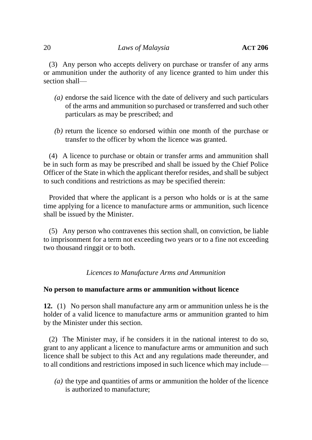#### 20 *Laws of Malaysia* **ACT** 206

(3) Any person who accepts delivery on purchase or transfer of any arms or ammunition under the authority of any licence granted to him under this section shall—

- *(a)* endorse the said licence with the date of delivery and such particulars of the arms and ammunition so purchased or transferred and such other particulars as may be prescribed; and
- *(b)* return the licence so endorsed within one month of the purchase or transfer to the officer by whom the licence was granted.

(4) A licence to purchase or obtain or transfer arms and ammunition shall be in such form as may be prescribed and shall be issued by the Chief Police Officer of the State in which the applicant therefor resides, and shall be subject to such conditions and restrictions as may be specified therein:

Provided that where the applicant is a person who holds or is at the same time applying for a licence to manufacture arms or ammunition, such licence shall be issued by the Minister.

(5) Any person who contravenes this section shall, on conviction, be liable to imprisonment for a term not exceeding two years or to a fine not exceeding two thousand ringgit or to both.

*Licences to Manufacture Arms and Ammunition*

## **No person to manufacture arms or ammunition without licence**

**12.** (1) No person shall manufacture any arm or ammunition unless he is the holder of a valid licence to manufacture arms or ammunition granted to him by the Minister under this section.

(2) The Minister may, if he considers it in the national interest to do so, grant to any applicant a licence to manufacture arms or ammunition and such licence shall be subject to this Act and any regulations made thereunder, and to all conditions and restrictions imposed in such licence which may include—

*(a)* the type and quantities of arms or ammunition the holder of the licence is authorized to manufacture;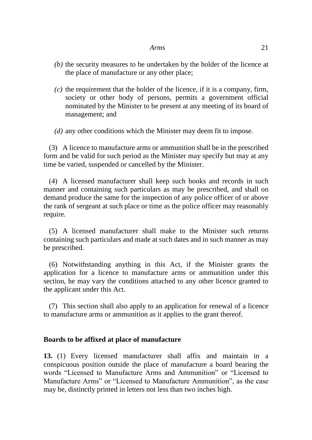- *(b)* the security measures to be undertaken by the holder of the licence at the place of manufacture or any other place;
- *(c)* the requirement that the holder of the licence, if it is a company, firm, society or other body of persons, permits a government official nominated by the Minister to be present at any meeting of its board of management; and

*(d)* any other conditions which the Minister may deem fit to impose.

(3) A licence to manufacture arms or ammunition shall be in the prescribed form and be valid for such period as the Minister may specify but may at any time be varied, suspended or cancelled by the Minister.

(4) A licensed manufacturer shall keep such books and records in such manner and containing such particulars as may be prescribed, and shall on demand produce the same for the inspection of any police officer of or above the rank of sergeant at such place or time as the police officer may reasonably require.

(5) A licensed manufacturer shall make to the Minister such returns containing such particulars and made at such dates and in such manner as may be prescribed.

(6) Notwithstanding anything in this Act, if the Minister grants the application for a licence to manufacture arms or ammunition under this section, he may vary the conditions attached to any other licence granted to the applicant under this Act.

(7) This section shall also apply to an application for renewal of a licence to manufacture arms or ammunition as it applies to the grant thereof.

## **Boards to be affixed at place of manufacture**

**13.** (1) Every licensed manufacturer shall affix and maintain in a conspicuous position outside the place of manufacture a board bearing the words "Licensed to Manufacture Arms and Ammunition" or "Licensed to Manufacture Arms" or "Licensed to Manufacture Ammunition", as the case may be, distinctly printed in letters not less than two inches high.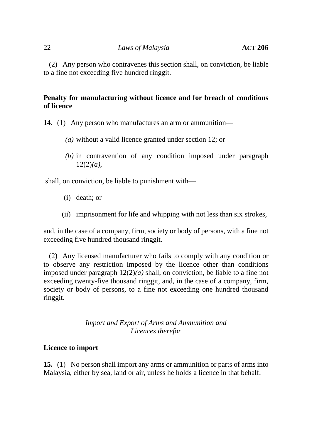(2) Any person who contravenes this section shall, on conviction, be liable to a fine not exceeding five hundred ringgit.

# **Penalty for manufacturing without licence and for breach of conditions of licence**

**14.** (1) Any person who manufactures an arm or ammunition—

- *(a)* without a valid licence granted under section 12; or
- *(b)* in contravention of any condition imposed under paragraph 12(2)*(a)*,

shall, on conviction, be liable to punishment with—

- (i) death; or
- (ii) imprisonment for life and whipping with not less than six strokes,

and, in the case of a company, firm, society or body of persons, with a fine not exceeding five hundred thousand ringgit.

(2) Any licensed manufacturer who fails to comply with any condition or to observe any restriction imposed by the licence other than conditions imposed under paragraph 12(2)*(a)* shall, on conviction, be liable to a fine not exceeding twenty-five thousand ringgit, and, in the case of a company, firm, society or body of persons, to a fine not exceeding one hundred thousand ringgit.

## *Import and Export of Arms and Ammunition and Licences therefor*

## **Licence to import**

**15.** (1) No person shall import any arms or ammunition or parts of arms into Malaysia, either by sea, land or air, unless he holds a licence in that behalf.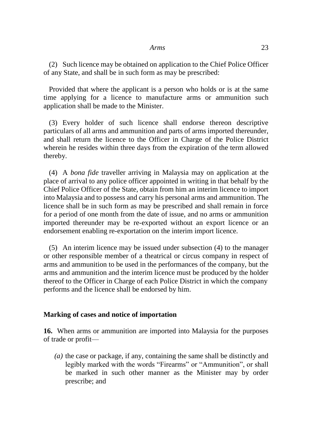(2) Such licence may be obtained on application to the Chief Police Officer of any State, and shall be in such form as may be prescribed:

Provided that where the applicant is a person who holds or is at the same time applying for a licence to manufacture arms or ammunition such application shall be made to the Minister.

(3) Every holder of such licence shall endorse thereon descriptive particulars of all arms and ammunition and parts of arms imported thereunder, and shall return the licence to the Officer in Charge of the Police District wherein he resides within three days from the expiration of the term allowed thereby.

(4) A *bona fide* traveller arriving in Malaysia may on application at the place of arrival to any police officer appointed in writing in that behalf by the Chief Police Officer of the State, obtain from him an interim licence to import into Malaysia and to possess and carry his personal arms and ammunition. The licence shall be in such form as may be prescribed and shall remain in force for a period of one month from the date of issue, and no arms or ammunition imported thereunder may be re-exported without an export licence or an endorsement enabling re-exportation on the interim import licence.

(5) An interim licence may be issued under subsection (4) to the manager or other responsible member of a theatrical or circus company in respect of arms and ammunition to be used in the performances of the company, but the arms and ammunition and the interim licence must be produced by the holder thereof to the Officer in Charge of each Police District in which the company performs and the licence shall be endorsed by him.

#### **Marking of cases and notice of importation**

**16.** When arms or ammunition are imported into Malaysia for the purposes of trade or profit—

*(a)* the case or package, if any, containing the same shall be distinctly and legibly marked with the words "Firearms" or "Ammunition", or shall be marked in such other manner as the Minister may by order prescribe; and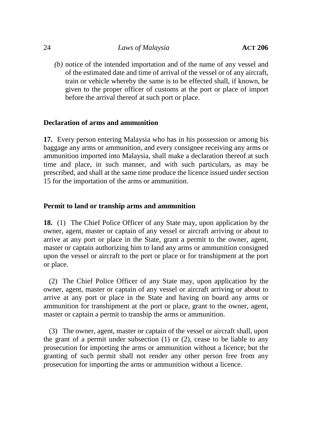*(b)* notice of the intended importation and of the name of any vessel and of the estimated date and time of arrival of the vessel or of any aircraft, train or vehicle whereby the same is to be effected shall, if known, be given to the proper officer of customs at the port or place of import before the arrival thereof at such port or place.

#### **Declaration of arms and ammunition**

**17.** Every person entering Malaysia who has in his possession or among his baggage any arms or ammunition, and every consignee receiving any arms or ammunition imported into Malaysia, shall make a declaration thereof at such time and place, in such manner, and with such particulars, as may be prescribed, and shall at the same time produce the licence issued under section 15 for the importation of the arms or ammunition.

#### **Permit to land or tranship arms and ammunition**

**18.** (1) The Chief Police Officer of any State may, upon application by the owner, agent, master or captain of any vessel or aircraft arriving or about to arrive at any port or place in the State, grant a permit to the owner, agent, master or captain authorizing him to land any arms or ammunition consigned upon the vessel or aircraft to the port or place or for transhipment at the port or place.

(2) The Chief Police Officer of any State may, upon application by the owner, agent, master or captain of any vessel or aircraft arriving or about to arrive at any port or place in the State and having on board any arms or ammunition for transhipment at the port or place, grant to the owner, agent, master or captain a permit to tranship the arms or ammunition.

(3) The owner, agent, master or captain of the vessel or aircraft shall, upon the grant of a permit under subsection  $(1)$  or  $(2)$ , cease to be liable to any prosecution for importing the arms or ammunition without a licence; but the granting of such permit shall not render any other person free from any prosecution for importing the arms or ammunition without a licence.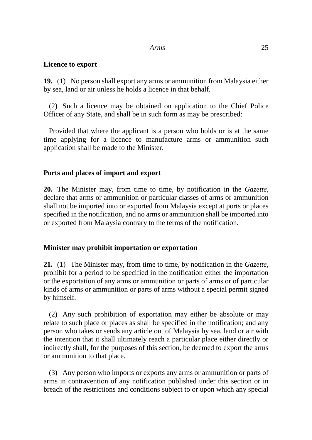#### **Licence to export**

**19.** (1) No person shall export any arms or ammunition from Malaysia either by sea, land or air unless he holds a licence in that behalf.

(2) Such a licence may be obtained on application to the Chief Police Officer of any State, and shall be in such form as may be prescribed:

Provided that where the applicant is a person who holds or is at the same time applying for a licence to manufacture arms or ammunition such application shall be made to the Minister.

## **Ports and places of import and export**

**20.** The Minister may, from time to time, by notification in the *Gazette*, declare that arms or ammunition or particular classes of arms or ammunition shall not be imported into or exported from Malaysia except at ports or places specified in the notification, and no arms or ammunition shall be imported into or exported from Malaysia contrary to the terms of the notification.

## **Minister may prohibit importation or exportation**

**21.** (1) The Minister may, from time to time, by notification in the *Gazette*, prohibit for a period to be specified in the notification either the importation or the exportation of any arms or ammunition or parts of arms or of particular kinds of arms or ammunition or parts of arms without a special permit signed by himself.

(2) Any such prohibition of exportation may either be absolute or may relate to such place or places as shall be specified in the notification; and any person who takes or sends any article out of Malaysia by sea, land or air with the intention that it shall ultimately reach a particular place either directly or indirectly shall, for the purposes of this section, be deemed to export the arms or ammunition to that place.

(3) Any person who imports or exports any arms or ammunition or parts of arms in contravention of any notification published under this section or in breach of the restrictions and conditions subject to or upon which any special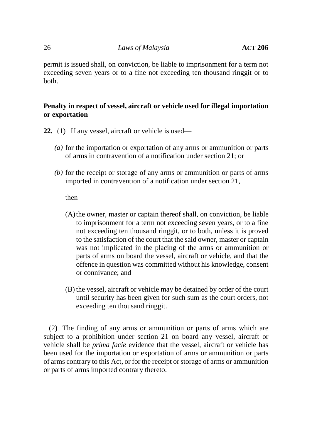permit is issued shall, on conviction, be liable to imprisonment for a term not exceeding seven years or to a fine not exceeding ten thousand ringgit or to both.

# **Penalty in respect of vessel, aircraft or vehicle used for illegal importation or exportation**

- **22.** (1) If any vessel, aircraft or vehicle is used—
	- *(a)* for the importation or exportation of any arms or ammunition or parts of arms in contravention of a notification under section 21; or
	- *(b)* for the receipt or storage of any arms or ammunition or parts of arms imported in contravention of a notification under section 21,

then—

- (A)the owner, master or captain thereof shall, on conviction, be liable to imprisonment for a term not exceeding seven years, or to a fine not exceeding ten thousand ringgit, or to both, unless it is proved to the satisfaction of the court that the said owner, master or captain was not implicated in the placing of the arms or ammunition or parts of arms on board the vessel, aircraft or vehicle, and that the offence in question was committed without his knowledge, consent or connivance; and
- (B) the vessel, aircraft or vehicle may be detained by order of the court until security has been given for such sum as the court orders, not exceeding ten thousand ringgit.

(2) The finding of any arms or ammunition or parts of arms which are subject to a prohibition under section 21 on board any vessel, aircraft or vehicle shall be *prima facie* evidence that the vessel, aircraft or vehicle has been used for the importation or exportation of arms or ammunition or parts of arms contrary to this Act, or for the receipt or storage of arms or ammunition or parts of arms imported contrary thereto.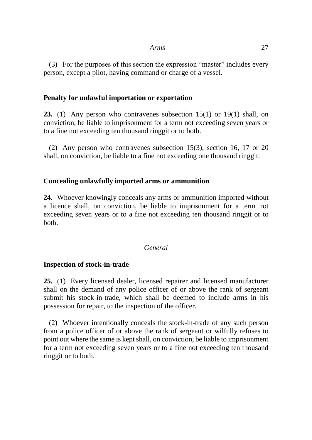(3) For the purposes of this section the expression "master" includes every person, except a pilot, having command or charge of a vessel.

## **Penalty for unlawful importation or exportation**

**23.** (1) Any person who contravenes subsection 15(1) or 19(1) shall, on conviction, be liable to imprisonment for a term not exceeding seven years or to a fine not exceeding ten thousand ringgit or to both.

(2) Any person who contravenes subsection 15(3), section 16, 17 or 20 shall, on conviction, be liable to a fine not exceeding one thousand ringgit.

## **Concealing unlawfully imported arms or ammunition**

**24.** Whoever knowingly conceals any arms or ammunition imported without a licence shall, on conviction, be liable to imprisonment for a term not exceeding seven years or to a fine not exceeding ten thousand ringgit or to both.

## *General*

## **Inspection of stock-in-trade**

**25.** (1) Every licensed dealer, licensed repairer and licensed manufacturer shall on the demand of any police officer of or above the rank of sergeant submit his stock-in-trade, which shall be deemed to include arms in his possession for repair, to the inspection of the officer.

(2) Whoever intentionally conceals the stock-in-trade of any such person from a police officer of or above the rank of sergeant or wilfully refuses to point out where the same is kept shall, on conviction, be liable to imprisonment for a term not exceeding seven years or to a fine not exceeding ten thousand ringgit or to both.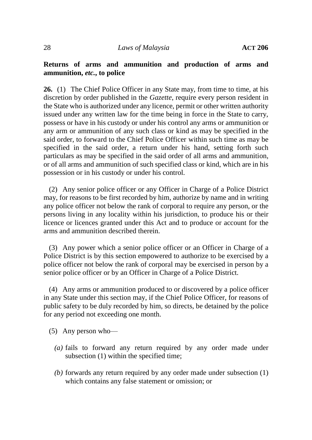## **Returns of arms and ammunition and production of arms and ammunition,** *etc.***, to police**

**26.** (1) The Chief Police Officer in any State may, from time to time, at his discretion by order published in the *Gazette*, require every person resident in the State who is authorized under any licence, permit or other written authority issued under any written law for the time being in force in the State to carry, possess or have in his custody or under his control any arms or ammunition or any arm or ammunition of any such class or kind as may be specified in the said order, to forward to the Chief Police Officer within such time as may be specified in the said order, a return under his hand, setting forth such particulars as may be specified in the said order of all arms and ammunition, or of all arms and ammunition of such specified class or kind, which are in his possession or in his custody or under his control.

(2) Any senior police officer or any Officer in Charge of a Police District may, for reasons to be first recorded by him, authorize by name and in writing any police officer not below the rank of corporal to require any person, or the persons living in any locality within his jurisdiction, to produce his or their licence or licences granted under this Act and to produce or account for the arms and ammunition described therein.

(3) Any power which a senior police officer or an Officer in Charge of a Police District is by this section empowered to authorize to be exercised by a police officer not below the rank of corporal may be exercised in person by a senior police officer or by an Officer in Charge of a Police District.

(4) Any arms or ammunition produced to or discovered by a police officer in any State under this section may, if the Chief Police Officer, for reasons of public safety to be duly recorded by him, so directs, be detained by the police for any period not exceeding one month.

- (5) Any person who—
	- *(a)* fails to forward any return required by any order made under subsection (1) within the specified time;
	- *(b)* forwards any return required by any order made under subsection (1) which contains any false statement or omission; or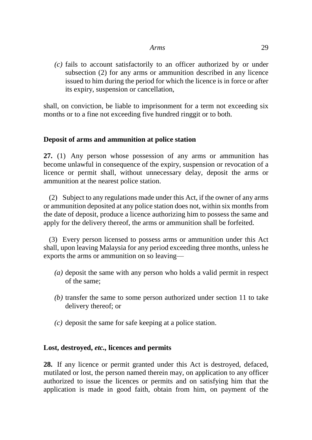*(c)* fails to account satisfactorily to an officer authorized by or under subsection (2) for any arms or ammunition described in any licence issued to him during the period for which the licence is in force or after its expiry, suspension or cancellation,

shall, on conviction, be liable to imprisonment for a term not exceeding six months or to a fine not exceeding five hundred ringgit or to both.

# **Deposit of arms and ammunition at police station**

**27.** (1) Any person whose possession of any arms or ammunition has become unlawful in consequence of the expiry, suspension or revocation of a licence or permit shall, without unnecessary delay, deposit the arms or ammunition at the nearest police station.

(2) Subject to any regulations made under this Act, if the owner of any arms or ammunition deposited at any police station does not, within six months from the date of deposit, produce a licence authorizing him to possess the same and apply for the delivery thereof, the arms or ammunition shall be forfeited.

(3) Every person licensed to possess arms or ammunition under this Act shall, upon leaving Malaysia for any period exceeding three months, unless he exports the arms or ammunition on so leaving—

- *(a)* deposit the same with any person who holds a valid permit in respect of the same;
- *(b)* transfer the same to some person authorized under section 11 to take delivery thereof; or
- *(c)* deposit the same for safe keeping at a police station.

## **Lost, destroyed,** *etc.,* **licences and permits**

**28.** If any licence or permit granted under this Act is destroyed, defaced, mutilated or lost, the person named therein may, on application to any officer authorized to issue the licences or permits and on satisfying him that the application is made in good faith, obtain from him, on payment of the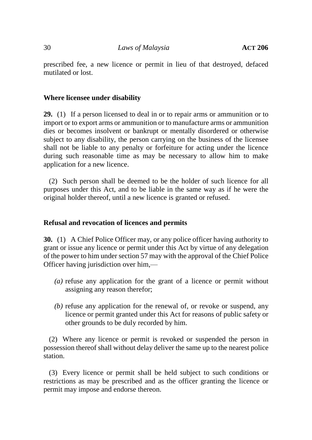prescribed fee, a new licence or permit in lieu of that destroyed, defaced mutilated or lost.

# **Where licensee under disability**

**29.** (1) If a person licensed to deal in or to repair arms or ammunition or to import or to export arms or ammunition or to manufacture arms or ammunition dies or becomes insolvent or bankrupt or mentally disordered or otherwise subject to any disability, the person carrying on the business of the licensee shall not be liable to any penalty or forfeiture for acting under the licence during such reasonable time as may be necessary to allow him to make application for a new licence.

(2) Such person shall be deemed to be the holder of such licence for all purposes under this Act, and to be liable in the same way as if he were the original holder thereof, until a new licence is granted or refused.

## **Refusal and revocation of licences and permits**

**30.** (1) A Chief Police Officer may, or any police officer having authority to grant or issue any licence or permit under this Act by virtue of any delegation of the power to him under section 57 may with the approval of the Chief Police Officer having jurisdiction over him,—

- *(a)* refuse any application for the grant of a licence or permit without assigning any reason therefor;
- *(b)* refuse any application for the renewal of, or revoke or suspend, any licence or permit granted under this Act for reasons of public safety or other grounds to be duly recorded by him.

(2) Where any licence or permit is revoked or suspended the person in possession thereof shall without delay deliver the same up to the nearest police station.

(3) Every licence or permit shall be held subject to such conditions or restrictions as may be prescribed and as the officer granting the licence or permit may impose and endorse thereon.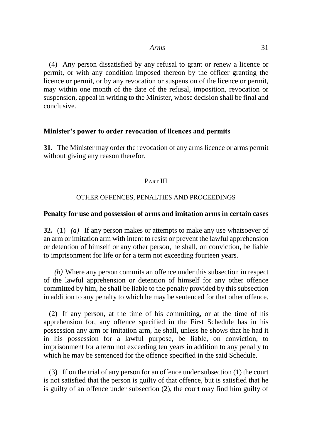(4) Any person dissatisfied by any refusal to grant or renew a licence or permit, or with any condition imposed thereon by the officer granting the licence or permit, or by any revocation or suspension of the licence or permit, may within one month of the date of the refusal, imposition, revocation or suspension, appeal in writing to the Minister, whose decision shall be final and conclusive.

#### **Minister's power to order revocation of licences and permits**

**31.** The Minister may order the revocation of any arms licence or arms permit without giving any reason therefor.

## PART III

#### OTHER OFFENCES, PENALTIES AND PROCEEDINGS

#### **Penalty for use and possession of arms and imitation arms in certain cases**

**32.** (1) *(a)* If any person makes or attempts to make any use whatsoever of an arm or imitation arm with intent to resist or prevent the lawful apprehension or detention of himself or any other person, he shall, on conviction, be liable to imprisonment for life or for a term not exceeding fourteen years.

*(b)* Where any person commits an offence under this subsection in respect of the lawful apprehension or detention of himself for any other offence committed by him, he shall be liable to the penalty provided by this subsection in addition to any penalty to which he may be sentenced for that other offence.

(2) If any person, at the time of his committing, or at the time of his apprehension for, any offence specified in the First Schedule has in his possession any arm or imitation arm, he shall, unless he shows that he had it in his possession for a lawful purpose, be liable, on conviction, to imprisonment for a term not exceeding ten years in addition to any penalty to which he may be sentenced for the offence specified in the said Schedule.

(3) If on the trial of any person for an offence under subsection (1) the court is not satisfied that the person is guilty of that offence, but is satisfied that he is guilty of an offence under subsection (2), the court may find him guilty of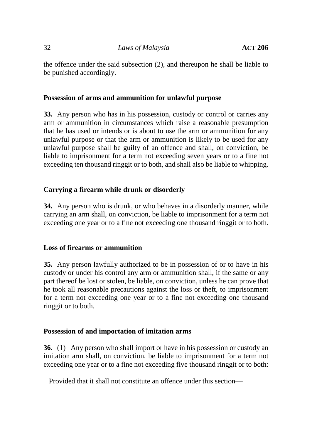the offence under the said subsection (2), and thereupon he shall be liable to be punished accordingly.

# **Possession of arms and ammunition for unlawful purpose**

**33.** Any person who has in his possession, custody or control or carries any arm or ammunition in circumstances which raise a reasonable presumption that he has used or intends or is about to use the arm or ammunition for any unlawful purpose or that the arm or ammunition is likely to be used for any unlawful purpose shall be guilty of an offence and shall, on conviction, be liable to imprisonment for a term not exceeding seven years or to a fine not exceeding ten thousand ringgit or to both, and shall also be liable to whipping.

# **Carrying a firearm while drunk or disorderly**

**34.** Any person who is drunk, or who behaves in a disorderly manner, while carrying an arm shall, on conviction, be liable to imprisonment for a term not exceeding one year or to a fine not exceeding one thousand ringgit or to both.

## **Loss of firearms or ammunition**

**35.** Any person lawfully authorized to be in possession of or to have in his custody or under his control any arm or ammunition shall, if the same or any part thereof be lost or stolen, be liable, on conviction, unless he can prove that he took all reasonable precautions against the loss or theft, to imprisonment for a term not exceeding one year or to a fine not exceeding one thousand ringgit or to both.

## **Possession of and importation of imitation arms**

**36.** (1) Any person who shall import or have in his possession or custody an imitation arm shall, on conviction, be liable to imprisonment for a term not exceeding one year or to a fine not exceeding five thousand ringgit or to both:

Provided that it shall not constitute an offence under this section—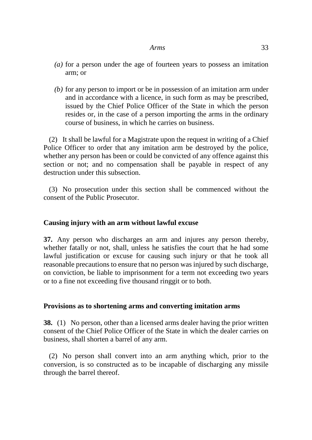- *(a)* for a person under the age of fourteen years to possess an imitation arm; or
- *(b)* for any person to import or be in possession of an imitation arm under and in accordance with a licence, in such form as may be prescribed, issued by the Chief Police Officer of the State in which the person resides or, in the case of a person importing the arms in the ordinary course of business, in which he carries on business.

(2) It shall be lawful for a Magistrate upon the request in writing of a Chief Police Officer to order that any imitation arm be destroyed by the police, whether any person has been or could be convicted of any offence against this section or not; and no compensation shall be payable in respect of any destruction under this subsection.

(3) No prosecution under this section shall be commenced without the consent of the Public Prosecutor.

# **Causing injury with an arm without lawful excuse**

**37.** Any person who discharges an arm and injures any person thereby, whether fatally or not, shall, unless he satisfies the court that he had some lawful justification or excuse for causing such injury or that he took all reasonable precautions to ensure that no person was injured by such discharge, on conviction, be liable to imprisonment for a term not exceeding two years or to a fine not exceeding five thousand ringgit or to both.

## **Provisions as to shortening arms and converting imitation arms**

**38.** (1) No person, other than a licensed arms dealer having the prior written consent of the Chief Police Officer of the State in which the dealer carries on business, shall shorten a barrel of any arm.

(2) No person shall convert into an arm anything which, prior to the conversion, is so constructed as to be incapable of discharging any missile through the barrel thereof.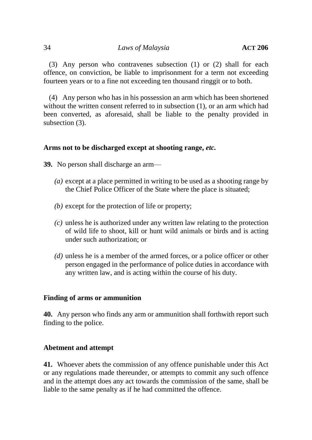(3) Any person who contravenes subsection (1) or (2) shall for each offence, on conviction, be liable to imprisonment for a term not exceeding fourteen years or to a fine not exceeding ten thousand ringgit or to both.

(4) Any person who has in his possession an arm which has been shortened without the written consent referred to in subsection (1), or an arm which had been converted, as aforesaid, shall be liable to the penalty provided in subsection (3).

# **Arms not to be discharged except at shooting range,** *etc.*

**39.** No person shall discharge an arm—

- *(a)* except at a place permitted in writing to be used as a shooting range by the Chief Police Officer of the State where the place is situated;
- *(b)* except for the protection of life or property;
- *(c)* unless he is authorized under any written law relating to the protection of wild life to shoot, kill or hunt wild animals or birds and is acting under such authorization; or
- *(d)* unless he is a member of the armed forces, or a police officer or other person engaged in the performance of police duties in accordance with any written law, and is acting within the course of his duty.

# **Finding of arms or ammunition**

**40.** Any person who finds any arm or ammunition shall forthwith report such finding to the police.

# **Abetment and attempt**

**41.** Whoever abets the commission of any offence punishable under this Act or any regulations made thereunder, or attempts to commit any such offence and in the attempt does any act towards the commission of the same, shall be liable to the same penalty as if he had committed the offence.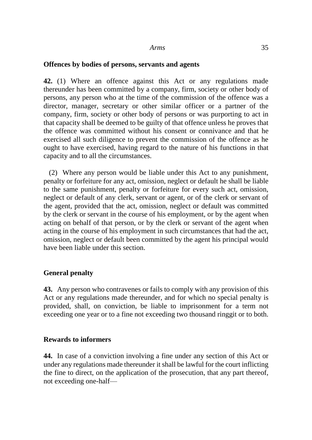#### **Offences by bodies of persons, servants and agents**

**42.** (1) Where an offence against this Act or any regulations made thereunder has been committed by a company, firm, society or other body of persons, any person who at the time of the commission of the offence was a director, manager, secretary or other similar officer or a partner of the company, firm, society or other body of persons or was purporting to act in that capacity shall be deemed to be guilty of that offence unless he proves that the offence was committed without his consent or connivance and that he exercised all such diligence to prevent the commission of the offence as he ought to have exercised, having regard to the nature of his functions in that capacity and to all the circumstances.

(2) Where any person would be liable under this Act to any punishment, penalty or forfeiture for any act, omission, neglect or default he shall be liable to the same punishment, penalty or forfeiture for every such act, omission, neglect or default of any clerk, servant or agent, or of the clerk or servant of the agent, provided that the act, omission, neglect or default was committed by the clerk or servant in the course of his employment, or by the agent when acting on behalf of that person, or by the clerk or servant of the agent when acting in the course of his employment in such circumstances that had the act, omission, neglect or default been committed by the agent his principal would have been liable under this section.

## **General penalty**

**43.** Any person who contravenes or fails to comply with any provision of this Act or any regulations made thereunder, and for which no special penalty is provided, shall, on conviction, be liable to imprisonment for a term not exceeding one year or to a fine not exceeding two thousand ringgit or to both.

## **Rewards to informers**

**44.** In case of a conviction involving a fine under any section of this Act or under any regulations made thereunder it shall be lawful for the court inflicting the fine to direct, on the application of the prosecution, that any part thereof, not exceeding one-half—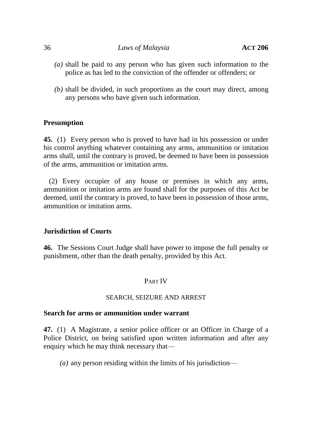#### 36 *Laws of Malaysia* **ACT 206**

- *(a)* shall be paid to any person who has given such information to the police as has led to the conviction of the offender or offenders; or
- *(b)* shall be divided, in such proportions as the court may direct, among any persons who have given such information.

## **Presumption**

**45.** (1) Every person who is proved to have had in his possession or under his control anything whatever containing any arms, ammunition or imitation arms shall, until the contrary is proved, be deemed to have been in possession of the arms, ammunition or imitation arms.

(2) Every occupier of any house or premises in which any arms, ammunition or imitation arms are found shall for the purposes of this Act be deemed, until the contrary is proved, to have been in possession of those arms, ammunition or imitation arms.

## **Jurisdiction of Courts**

**46.** The Sessions Court Judge shall have power to impose the full penalty or punishment, other than the death penalty, provided by this Act.

# PART IV

## SEARCH, SEIZURE AND ARREST

## **Search for arms or ammunition under warrant**

**47.** (1) A Magistrate, a senior police officer or an Officer in Charge of a Police District, on being satisfied upon written information and after any enquiry which he may think necessary that—

*(a)* any person residing within the limits of his jurisdiction—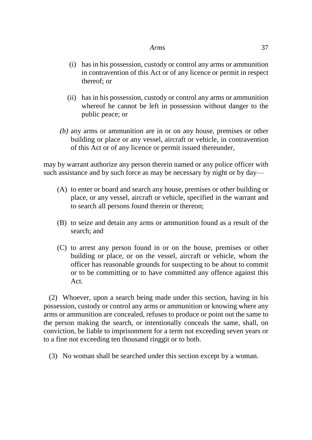- (i) has in his possession, custody or control any arms or ammunition in contravention of this Act or of any licence or permit in respect thereof; or
- (ii) has in his possession, custody or control any arms or ammunition whereof he cannot be left in possession without danger to the public peace; or
- *(b)* any arms or ammunition are in or on any house, premises or other building or place or any vessel, aircraft or vehicle, in contravention of this Act or of any licence or permit issued thereunder,

may by warrant authorize any person therein named or any police officer with such assistance and by such force as may be necessary by night or by day—

- (A) to enter or board and search any house, premises or other building or place, or any vessel, aircraft or vehicle, specified in the warrant and to search all persons found therein or thereon;
- (B) to seize and detain any arms or ammunition found as a result of the search; and
- (C) to arrest any person found in or on the house, premises or other building or place, or on the vessel, aircraft or vehicle, whom the officer has reasonable grounds for suspecting to be about to commit or to be committing or to have committed any offence against this Act.

(2) Whoever, upon a search being made under this section, having in his possession, custody or control any arms or ammunition or knowing where any arms or ammunition are concealed, refuses to produce or point out the same to the person making the search, or intentionally conceals the same, shall, on conviction, be liable to imprisonment for a term not exceeding seven years or to a fine not exceeding ten thousand ringgit or to both.

(3) No woman shall be searched under this section except by a woman.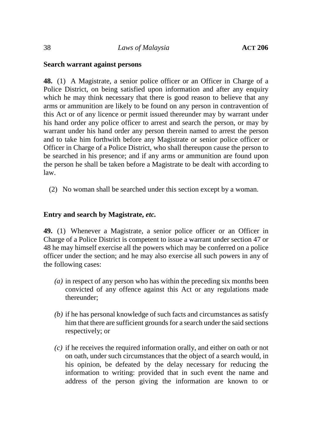## **Search warrant against persons**

**48.** (1) A Magistrate, a senior police officer or an Officer in Charge of a Police District, on being satisfied upon information and after any enquiry which he may think necessary that there is good reason to believe that any arms or ammunition are likely to be found on any person in contravention of this Act or of any licence or permit issued thereunder may by warrant under his hand order any police officer to arrest and search the person, or may by warrant under his hand order any person therein named to arrest the person and to take him forthwith before any Magistrate or senior police officer or Officer in Charge of a Police District, who shall thereupon cause the person to be searched in his presence; and if any arms or ammunition are found upon the person he shall be taken before a Magistrate to be dealt with according to law.

(2) No woman shall be searched under this section except by a woman.

## **Entry and search by Magistrate,** *etc.*

**49.** (1) Whenever a Magistrate, a senior police officer or an Officer in Charge of a Police District is competent to issue a warrant under section 47 or 48 he may himself exercise all the powers which may be conferred on a police officer under the section; and he may also exercise all such powers in any of the following cases:

- *(a)* in respect of any person who has within the preceding six months been convicted of any offence against this Act or any regulations made thereunder;
- *(b)* if he has personal knowledge of such facts and circumstances as satisfy him that there are sufficient grounds for a search under the said sections respectively; or
- *(c)* if he receives the required information orally, and either on oath or not on oath, under such circumstances that the object of a search would, in his opinion, be defeated by the delay necessary for reducing the information to writing: provided that in such event the name and address of the person giving the information are known to or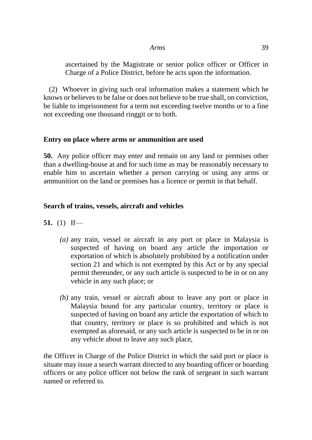ascertained by the Magistrate or senior police officer or Officer in Charge of a Police District, before he acts upon the information.

(2) Whoever in giving such oral information makes a statement which he knows or believes to be false or does not believe to be true shall, on conviction, be liable to imprisonment for a term not exceeding twelve months or to a fine not exceeding one thousand ringgit or to both.

## **Entry on place where arms or ammunition are used**

**50.** Any police officer may enter and remain on any land or premises other than a dwelling-house at and for such time as may be reasonably necessary to enable him to ascertain whether a person carrying or using any arms or ammunition on the land or premises has a licence or permit in that behalf.

## **Search of trains, vessels, aircraft and vehicles**

- **51.** (1) If—
	- *(a)* any train, vessel or aircraft in any port or place in Malaysia is suspected of having on board any article the importation or exportation of which is absolutely prohibited by a notification under section 21 and which is not exempted by this Act or by any special permit thereunder, or any such article is suspected to be in or on any vehicle in any such place; or
	- *(b)* any train, vessel or aircraft about to leave any port or place in Malaysia bound for any particular country, territory or place is suspected of having on board any article the exportation of which to that country, territory or place is so prohibited and which is not exempted as aforesaid, or any such article is suspected to be in or on any vehicle about to leave any such place,

the Officer in Charge of the Police District in which the said port or place is situate may issue a search warrant directed to any boarding officer or boarding officers or any police officer not below the rank of sergeant in such warrant named or referred to.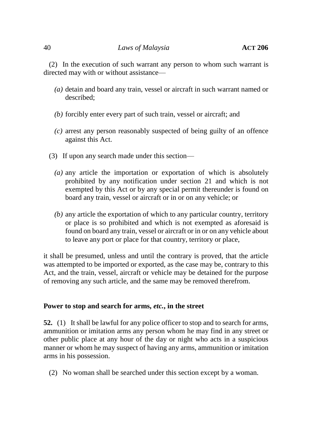(2) In the execution of such warrant any person to whom such warrant is directed may with or without assistance—

- *(a)* detain and board any train, vessel or aircraft in such warrant named or described;
- *(b)* forcibly enter every part of such train, vessel or aircraft; and
- *(c)* arrest any person reasonably suspected of being guilty of an offence against this Act.
- (3) If upon any search made under this section—
	- *(a)* any article the importation or exportation of which is absolutely prohibited by any notification under section 21 and which is not exempted by this Act or by any special permit thereunder is found on board any train, vessel or aircraft or in or on any vehicle; or
	- *(b)* any article the exportation of which to any particular country, territory or place is so prohibited and which is not exempted as aforesaid is found on board any train, vessel or aircraft or in or on any vehicle about to leave any port or place for that country, territory or place,

it shall be presumed, unless and until the contrary is proved, that the article was attempted to be imported or exported, as the case may be, contrary to this Act, and the train, vessel, aircraft or vehicle may be detained for the purpose of removing any such article, and the same may be removed therefrom.

# **Power to stop and search for arms,** *etc.***, in the street**

**52.** (1) It shall be lawful for any police officer to stop and to search for arms, ammunition or imitation arms any person whom he may find in any street or other public place at any hour of the day or night who acts in a suspicious manner or whom he may suspect of having any arms, ammunition or imitation arms in his possession.

(2) No woman shall be searched under this section except by a woman.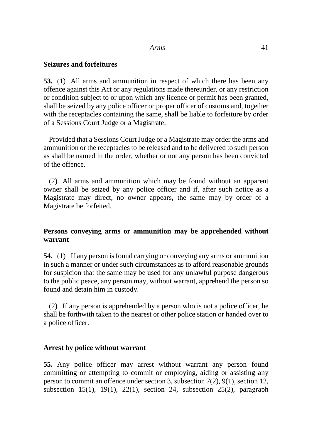## **Seizures and forfeitures**

**53.** (1) All arms and ammunition in respect of which there has been any offence against this Act or any regulations made thereunder, or any restriction or condition subject to or upon which any licence or permit has been granted, shall be seized by any police officer or proper officer of customs and, together with the receptacles containing the same, shall be liable to forfeiture by order of a Sessions Court Judge or a Magistrate:

Provided that a Sessions Court Judge or a Magistrate may order the arms and ammunition or the receptacles to be released and to be delivered to such person as shall be named in the order, whether or not any person has been convicted of the offence.

(2) All arms and ammunition which may be found without an apparent owner shall be seized by any police officer and if, after such notice as a Magistrate may direct, no owner appears, the same may by order of a Magistrate be forfeited.

## **Persons conveying arms or ammunition may be apprehended without warrant**

**54.** (1) If any person is found carrying or conveying any arms or ammunition in such a manner or under such circumstances as to afford reasonable grounds for suspicion that the same may be used for any unlawful purpose dangerous to the public peace, any person may, without warrant, apprehend the person so found and detain him in custody.

(2) If any person is apprehended by a person who is not a police officer, he shall be forthwith taken to the nearest or other police station or handed over to a police officer.

## **Arrest by police without warrant**

**55.** Any police officer may arrest without warrant any person found committing or attempting to commit or employing, aiding or assisting any person to commit an offence under section 3, subsection 7(2), 9(1), section 12, subsection 15(1), 19(1), 22(1), section 24, subsection 25(2), paragraph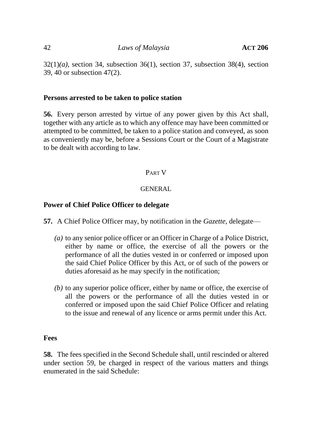$32(1)(a)$ , section 34, subsection 36(1), section 37, subsection 38(4), section 39, 40 or subsection 47(2).

## **Persons arrested to be taken to police station**

**56.** Every person arrested by virtue of any power given by this Act shall, together with any article as to which any offence may have been committed or attempted to be committed, be taken to a police station and conveyed, as soon as conveniently may be, before a Sessions Court or the Court of a Magistrate to be dealt with according to law.

# PART V

# **GENERAL**

# **Power of Chief Police Officer to delegate**

**57.** A Chief Police Officer may, by notification in the *Gazette*, delegate—

- *(a)* to any senior police officer or an Officer in Charge of a Police District, either by name or office, the exercise of all the powers or the performance of all the duties vested in or conferred or imposed upon the said Chief Police Officer by this Act, or of such of the powers or duties aforesaid as he may specify in the notification;
- *(b)* to any superior police officer, either by name or office, the exercise of all the powers or the performance of all the duties vested in or conferred or imposed upon the said Chief Police Officer and relating to the issue and renewal of any licence or arms permit under this Act.

# **Fees**

**58.** The fees specified in the Second Schedule shall, until rescinded or altered under section 59, be charged in respect of the various matters and things enumerated in the said Schedule: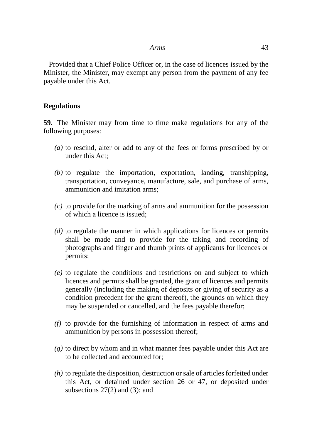Provided that a Chief Police Officer or, in the case of licences issued by the Minister, the Minister, may exempt any person from the payment of any fee payable under this Act.

#### **Regulations**

**59.** The Minister may from time to time make regulations for any of the following purposes:

- *(a)* to rescind, alter or add to any of the fees or forms prescribed by or under this Act;
- *(b)* to regulate the importation, exportation, landing, transhipping, transportation, conveyance, manufacture, sale, and purchase of arms, ammunition and imitation arms;
- *(c)* to provide for the marking of arms and ammunition for the possession of which a licence is issued;
- *(d)* to regulate the manner in which applications for licences or permits shall be made and to provide for the taking and recording of photographs and finger and thumb prints of applicants for licences or permits;
- *(e)* to regulate the conditions and restrictions on and subject to which licences and permits shall be granted, the grant of licences and permits generally (including the making of deposits or giving of security as a condition precedent for the grant thereof), the grounds on which they may be suspended or cancelled, and the fees payable therefor;
- *(f)* to provide for the furnishing of information in respect of arms and ammunition by persons in possession thereof;
- *(g)* to direct by whom and in what manner fees payable under this Act are to be collected and accounted for;
- *(h)* to regulate the disposition, destruction or sale of articles forfeited under this Act, or detained under section 26 or 47, or deposited under subsections  $27(2)$  and  $(3)$ ; and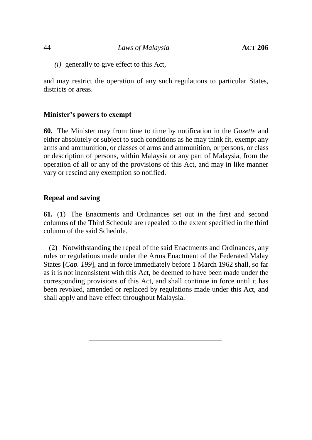*(i)* generally to give effect to this Act,

and may restrict the operation of any such regulations to particular States, districts or areas.

## **Minister's powers to exempt**

**60.** The Minister may from time to time by notification in the *Gazette* and either absolutely or subject to such conditions as he may think fit, exempt any arms and ammunition, or classes of arms and ammunition, or persons, or class or description of persons, within Malaysia or any part of Malaysia, from the operation of all or any of the provisions of this Act, and may in like manner vary or rescind any exemption so notified.

## **Repeal and saving**

**61.** (1) The Enactments and Ordinances set out in the first and second columns of the Third Schedule are repealed to the extent specified in the third column of the said Schedule.

(2) Notwithstanding the repeal of the said Enactments and Ordinances, any rules or regulations made under the Arms Enactment of the Federated Malay States [*Cap. 199*], and in force immediately before 1 March 1962 shall, so far as it is not inconsistent with this Act, be deemed to have been made under the corresponding provisions of this Act, and shall continue in force until it has been revoked, amended or replaced by regulations made under this Act, and shall apply and have effect throughout Malaysia.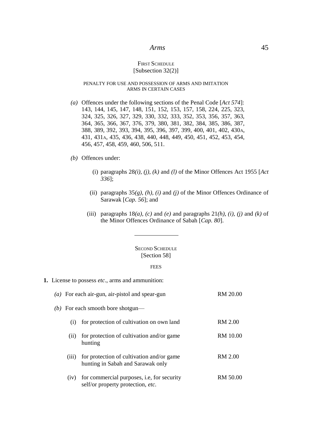#### **FIRST SCHEDULE** [Subsection 32(2)]

#### PENALTY FOR USE AND POSSESSION OF ARMS AND IMITATION ARMS IN CERTAIN CASES

*(a)* Offences under the following sections of the Penal Code [*Act 574*]: 143, 144, 145, 147, 148, 151, 152, 153, 157, 158, 224, 225, 323, 324, 325, 326, 327, 329, 330, 332, 333, 352, 353, 356, 357, 363, 364, 365, 366, 367, 376, 379, 380, 381, 382, 384, 385, 386, 387, 388, 389, 392, 393, 394, 395, 396, 397, 399, 400, 401, 402, 430A, 431, 431A, 435, 436, 438, 440, 448, 449, 450, 451, 452, 453, 454, 456, 457, 458, 459, 460, 506, 511.

#### *(b)* Offences under:

- (i) paragraphs  $28(i)$ ,  $(j)$ ,  $(k)$  and  $(l)$  of the Minor Offences Act 1955 [Act *336*];
- (ii) paragraphs 35*(g), (h), (i)* and *(j)* of the Minor Offences Ordinance of Sarawak [*Cap. 56*]; and
- (iii) paragraphs  $18(a)$ , *(c)* and *(e)* and paragraphs  $21(h)$ , *(i)*, *(j)* and *(k)* of the Minor Offences Ordinance of Sabah [*Cap. 80*].

#### SECOND SCHEDULE [Section 58]

#### **FEES**

**1.** License to possess *etc*., arms and ammunition:

|                                   | (a) For each air-gun, air-pistol and spear-gun                                         | RM 20.00       |
|-----------------------------------|----------------------------------------------------------------------------------------|----------------|
| (b) For each smooth bore shotgun— |                                                                                        |                |
| (i)                               | for protection of cultivation on own land                                              | RM 2.00        |
| (11)                              | for protection of cultivation and/or game<br>hunting                                   | RM 10.00       |
| (iii)                             | for protection of cultivation and/or game<br>hunting in Sabah and Sarawak only         | <b>RM 2.00</b> |
| (iv)                              | for commercial purposes, i.e, for security<br>self/or property protection, <i>etc.</i> | RM 50.00       |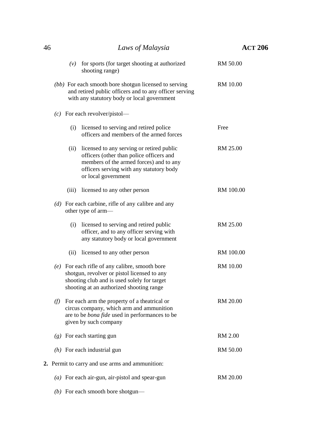| 46 |       | Laws of Malaysia                                                                                                                                                                                    | <b>ACT 206</b>  |
|----|-------|-----------------------------------------------------------------------------------------------------------------------------------------------------------------------------------------------------|-----------------|
|    | (v)   | for sports (for target shooting at authorized<br>shooting range)                                                                                                                                    | <b>RM 50.00</b> |
|    |       | (bb) For each smooth bore shotgun licensed to serving<br>and retired public officers and to any officer serving<br>with any statutory body or local government                                      | <b>RM</b> 10.00 |
|    |       | $(c)$ For each revolver/pistol—                                                                                                                                                                     |                 |
|    | (i)   | licensed to serving and retired police<br>officers and members of the armed forces                                                                                                                  | Free            |
|    | (ii)  | licensed to any serving or retired public<br>officers (other than police officers and<br>members of the armed forces) and to any<br>officers serving with any statutory body<br>or local government | RM 25.00        |
|    | (iii) | licensed to any other person                                                                                                                                                                        | RM 100.00       |
|    |       | $(d)$ For each carbine, rifle of any calibre and any<br>other type of arm-                                                                                                                          |                 |
|    | (i)   | licensed to serving and retired public<br>officer, and to any officer serving with<br>any statutory body or local government                                                                        | RM 25.00        |
|    | (ii)  | licensed to any other person                                                                                                                                                                        | RM 100.00       |
|    |       | $(e)$ For each rifle of any calibre, smooth bore<br>shotgun, revolver or pistol licensed to any<br>shooting club and is used solely for target<br>shooting at an authorized shooting range          | <b>RM</b> 10.00 |
|    | (f)   | For each arm the property of a theatrical or<br>circus company, which arm and ammunition<br>are to be <i>bona fide</i> used in performances to be<br>given by such company                          | <b>RM 20.00</b> |
|    |       | $(g)$ For each starting gun                                                                                                                                                                         | <b>RM 2.00</b>  |
|    |       | $(h)$ For each industrial gun                                                                                                                                                                       | RM 50.00        |
|    |       | 2. Permit to carry and use arms and ammunition:                                                                                                                                                     |                 |
|    |       | $(a)$ For each air-gun, air-pistol and spear-gun                                                                                                                                                    | RM 20.00        |
|    |       | (b) For each smooth bore shotgun—                                                                                                                                                                   |                 |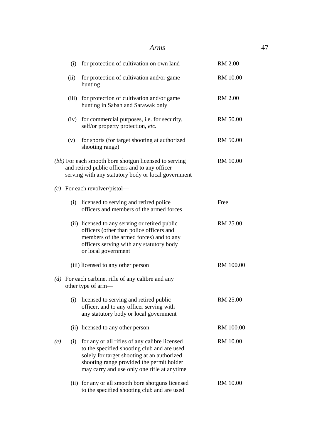|     | (i)  | for protection of cultivation on own land                                                                                                                                                                                               | <b>RM 2.00</b>  |
|-----|------|-----------------------------------------------------------------------------------------------------------------------------------------------------------------------------------------------------------------------------------------|-----------------|
|     | (ii) | for protection of cultivation and/or game<br>hunting                                                                                                                                                                                    | <b>RM 10.00</b> |
|     |      | (iii) for protection of cultivation and/or game<br>hunting in Sabah and Sarawak only                                                                                                                                                    | <b>RM 2.00</b>  |
|     |      | (iv) for commercial purposes, i.e. for security,<br>self/or property protection, etc.                                                                                                                                                   | RM 50.00        |
|     | (v)  | for sports (for target shooting at authorized<br>shooting range)                                                                                                                                                                        | RM 50.00        |
|     |      | (bb) For each smooth bore shotgun licensed to serving<br>and retired public officers and to any officer<br>serving with any statutory body or local government                                                                          | RM 10.00        |
|     |      | $(c)$ For each revolver/pistol—                                                                                                                                                                                                         |                 |
|     | (i)  | licensed to serving and retired police<br>officers and members of the armed forces                                                                                                                                                      | Free            |
|     |      | (ii) licensed to any serving or retired public<br>officers (other than police officers and<br>members of the armed forces) and to any<br>officers serving with any statutory body<br>or local government                                | RM 25.00        |
|     |      | (iii) licensed to any other person                                                                                                                                                                                                      | RM 100.00       |
|     |      | $(d)$ For each carbine, rifle of any calibre and any<br>other type of arm-                                                                                                                                                              |                 |
|     | (i)  | licensed to serving and retired public<br>officer, and to any officer serving with<br>any statutory body or local government                                                                                                            | RM 25.00        |
|     |      | (ii) licensed to any other person                                                                                                                                                                                                       | RM 100.00       |
| (e) | (i)  | for any or all rifles of any calibre licensed<br>to the specified shooting club and are used<br>solely for target shooting at an authorized<br>shooting range provided the permit holder<br>may carry and use only one rifle at anytime | <b>RM 10.00</b> |
|     |      | (ii) for any or all smooth bore shotguns licensed<br>to the specified shooting club and are used                                                                                                                                        | <b>RM 10.00</b> |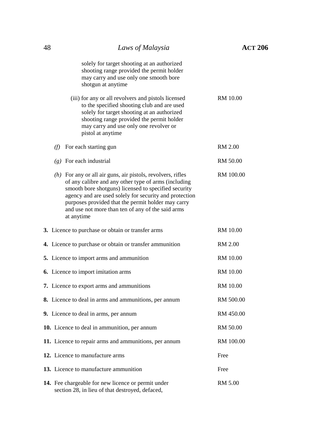| 48 | Laws of Malaysia                                                                                                                                                                                                                                                                                                                                                 | <b>ACT 206</b>  |
|----|------------------------------------------------------------------------------------------------------------------------------------------------------------------------------------------------------------------------------------------------------------------------------------------------------------------------------------------------------------------|-----------------|
|    | solely for target shooting at an authorized<br>shooting range provided the permit holder<br>may carry and use only one smooth bore<br>shotgun at anytime                                                                                                                                                                                                         |                 |
|    | (iii) for any or all revolvers and pistols licensed<br>to the specified shooting club and are used<br>solely for target shooting at an authorized<br>shooting range provided the permit holder<br>may carry and use only one revolver or<br>pistol at anytime                                                                                                    | <b>RM</b> 10.00 |
|    | $(f)$ For each starting gun                                                                                                                                                                                                                                                                                                                                      | <b>RM 2.00</b>  |
|    | $(g)$ For each industrial                                                                                                                                                                                                                                                                                                                                        | RM 50.00        |
|    | $(h)$ For any or all air guns, air pistols, revolvers, rifles<br>of any calibre and any other type of arms (including<br>smooth bore shotguns) licensed to specified security<br>agency and are used solely for security and protection<br>purposes provided that the permit holder may carry<br>and use not more than ten of any of the said arms<br>at anytime | RM 100.00       |
|    | 3. Licence to purchase or obtain or transfer arms                                                                                                                                                                                                                                                                                                                | <b>RM</b> 10.00 |
|    | 4. Licence to purchase or obtain or transfer ammunition                                                                                                                                                                                                                                                                                                          | RM 2.00         |
|    | 5. Licence to import arms and ammunition                                                                                                                                                                                                                                                                                                                         | <b>RM</b> 10.00 |
|    | <b>6.</b> Licence to import imitation arms                                                                                                                                                                                                                                                                                                                       | <b>RM</b> 10.00 |
|    | 7. Licence to export arms and ammunitions                                                                                                                                                                                                                                                                                                                        | <b>RM</b> 10.00 |
|    | 8. Licence to deal in arms and ammunitions, per annum                                                                                                                                                                                                                                                                                                            | RM 500.00       |
|    | 9. Licence to deal in arms, per annum                                                                                                                                                                                                                                                                                                                            | RM 450.00       |
|    | 10. Licence to deal in ammunition, per annum                                                                                                                                                                                                                                                                                                                     | RM 50.00        |
|    | 11. Licence to repair arms and ammunitions, per annum                                                                                                                                                                                                                                                                                                            | RM 100.00       |
|    | 12. Licence to manufacture arms                                                                                                                                                                                                                                                                                                                                  | Free            |
|    | 13. Licence to manufacture ammunition                                                                                                                                                                                                                                                                                                                            | Free            |
|    | 14. Fee chargeable for new licence or permit under<br>section 28, in lieu of that destroyed, defaced,                                                                                                                                                                                                                                                            | <b>RM 5.00</b>  |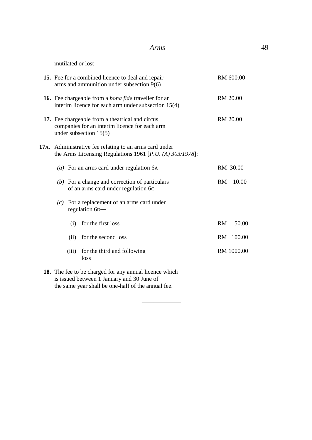| 15. Fee for a combined licence to deal and repair<br>arms and ammunition under subsection 9(6)                               | RM 600.00          |
|------------------------------------------------------------------------------------------------------------------------------|--------------------|
| <b>16.</b> Fee chargeable from a <i>bona fide</i> traveller for an<br>interim licence for each arm under subsection $15(4)$  | RM 20.00           |
| 17. Fee chargeable from a theatrical and circus<br>companies for an interim licence for each arm<br>under subsection $15(5)$ | <b>RM 20.00</b>    |
| 17A. Administrative fee relating to an arms card under<br>the Arms Licensing Regulations 1961 [ $P.U. (A) 303/1978$ ]:       |                    |
| (a) For an arms card under regulation $6A$                                                                                   | RM 30.00           |
| $(b)$ For a change and correction of particulars<br>of an arms card under regulation 6C                                      | 10.00<br><b>RM</b> |
| $(c)$ For a replacement of an arms card under<br>regulation 6D-                                                              |                    |
| for the first loss<br>(i)                                                                                                    | RM<br>50.00        |
| for the second loss<br>(ii)                                                                                                  | RM 100.00          |
| for the third and following<br>(iii)<br>loss                                                                                 | RM 1000.00         |
| 18. The fee to be charged for any annual licence which<br>is issued between 1 January and 30 June of                         |                    |

 $\overline{\phantom{a}}$ 

the same year shall be one-half of the annual fee.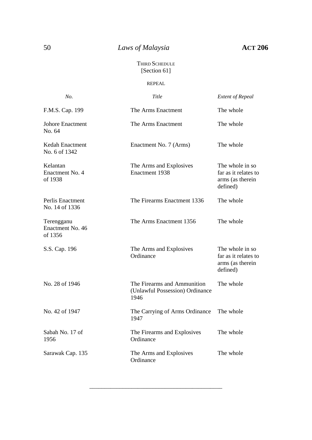# 50 *Laws of Malaysia* **ACT 206**

#### THIRD SCHEDULE [Section 61]

#### REPEAL

| No.                                       | Title                                                                  | <b>Extent of Repeal</b>                                                  |
|-------------------------------------------|------------------------------------------------------------------------|--------------------------------------------------------------------------|
| F.M.S. Cap. 199                           | The Arms Enactment                                                     | The whole                                                                |
| <b>Johore Enactment</b><br>No. 64         | The Arms Enactment                                                     | The whole                                                                |
| Kedah Enactment<br>No. 6 of 1342          | Enactment No. 7 (Arms)                                                 | The whole                                                                |
| Kelantan<br>Enactment No. 4<br>of 1938    | The Arms and Explosives<br>Enactment 1938                              | The whole in so.<br>far as it relates to<br>arms (as therein<br>defined) |
| Perlis Enactment<br>No. 14 of 1336        | The Firearms Enactment 1336                                            | The whole                                                                |
| Terengganu<br>Enactment No. 46<br>of 1356 | The Arms Enactment 1356                                                | The whole                                                                |
| S.S. Cap. 196                             | The Arms and Explosives<br>Ordinance                                   | The whole in so.<br>far as it relates to<br>arms (as therein<br>defined) |
| No. 28 of 1946                            | The Firearms and Ammunition<br>(Unlawful Possession) Ordinance<br>1946 | The whole                                                                |
| No. 42 of 1947                            | The Carrying of Arms Ordinance<br>1947                                 | The whole                                                                |
| Sabah No. 17 of<br>1956                   | The Firearms and Explosives<br>Ordinance                               | The whole                                                                |
| Sarawak Cap. 135                          | The Arms and Explosives<br>Ordinance                                   | The whole                                                                |

\_\_\_\_\_\_\_\_\_\_\_\_\_\_\_\_\_\_\_\_\_\_\_\_\_\_\_\_\_\_\_\_\_\_\_\_\_\_\_\_\_\_\_\_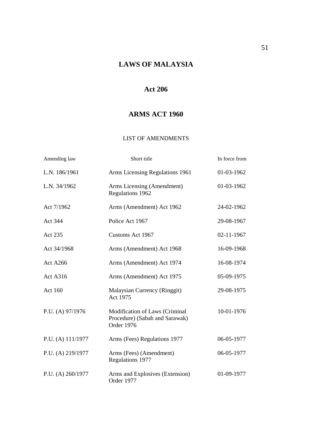# **LAWS OF MALAYSIA**

# **Act 206**

# **ARMS ACT 1960**

#### LIST OF AMENDMENTS

| Amending law      | Short title                                                                    | In force from |
|-------------------|--------------------------------------------------------------------------------|---------------|
| L.N. 186/1961     | Arms Licensing Regulations 1961                                                | 01-03-1962    |
| L.N. 34/1962      | Arms Licensing (Amendment)<br>Regulations 1962                                 | 01-03-1962    |
| Act 7/1962        | Arms (Amendment) Act 1962                                                      | 24-02-1962    |
| Act 344           | Police Act 1967                                                                | 29-08-1967    |
| Act 235           | Customs Act 1967                                                               | 02-11-1967    |
| Act 34/1968       | Arms (Amendment) Act 1968                                                      | 16-09-1968    |
| <b>Act A266</b>   | Arms (Amendment) Act 1974                                                      | 16-08-1974    |
| <b>Act A316</b>   | Arms (Amendment) Act 1975                                                      | 05-09-1975    |
| <b>Act 160</b>    | Malaysian Currency (Ringgit)<br>Act 1975                                       | 29-08-1975    |
| P.U. (A) 97/1976  | Modification of Laws (Criminal<br>Procedure) (Sabah and Sarawak)<br>Order 1976 | 10-01-1976    |
| P.U. (A) 111/1977 | Arms (Fees) Regulations 1977                                                   | 06-05-1977    |
| P.U. (A) 219/1977 | Arms (Fees) (Amendment)<br>Regulations 1977                                    | 06-05-1977    |
| P.U. (A) 260/1977 | Arms and Explosives (Extension)<br>Order 1977                                  | 01-09-1977    |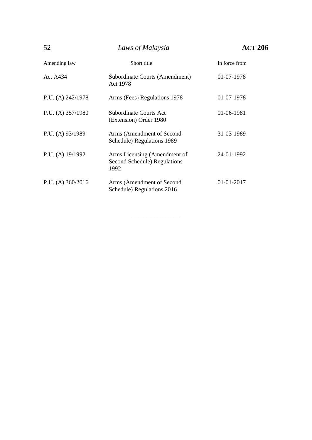| 52                  | Laws of Malaysia                                                     | АСТ 206       |
|---------------------|----------------------------------------------------------------------|---------------|
| Amending law        | Short title                                                          | In force from |
| <b>Act A434</b>     | Subordinate Courts (Amendment)<br>Act 1978                           | 01-07-1978    |
| P.U. (A) $242/1978$ | Arms (Fees) Regulations 1978                                         | 01-07-1978    |
| P.U. (A) 357/1980   | Subordinate Courts Act<br>(Extension) Order 1980                     | 01-06-1981    |
| P.U. (A) $93/1989$  | Arms (Amendment of Second<br>Schedule) Regulations 1989              | 31-03-1989    |
| P.U. (A) $19/1992$  | Arms Licensing (Amendment of<br>Second Schedule) Regulations<br>1992 | 24-01-1992    |
| P.U. (A) $360/2016$ | Arms (Amendment of Second<br>Schedule) Regulations 2016              | 01-01-2017    |

\_\_\_\_\_\_\_\_\_\_\_\_\_\_\_\_\_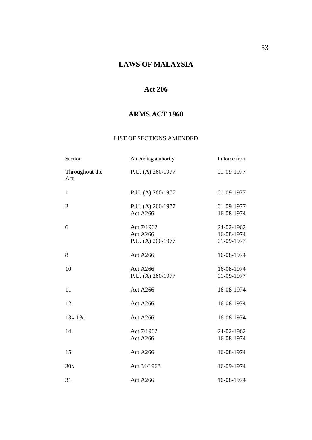# **LAWS OF MALAYSIA**

# **Act 206**

# **ARMS ACT 1960**

#### LIST OF SECTIONS AMENDED

| Section               | Amending authority                                 | In force from                          |
|-----------------------|----------------------------------------------------|----------------------------------------|
| Throughout the<br>Act | P.U. (A) 260/1977                                  | 01-09-1977                             |
| $\mathbf{1}$          | P.U. (A) 260/1977                                  | 01-09-1977                             |
| $\overline{2}$        | P.U. (A) 260/1977<br>Act A266                      | 01-09-1977<br>16-08-1974               |
| 6                     | Act 7/1962<br><b>Act A266</b><br>P.U. (A) 260/1977 | 24-02-1962<br>16-08-1974<br>01-09-1977 |
| 8                     | <b>Act A266</b>                                    | 16-08-1974                             |
| 10                    | <b>Act A266</b><br>P.U. (A) 260/1977               | 16-08-1974<br>01-09-1977               |
| 11                    | <b>Act A266</b>                                    | 16-08-1974                             |
| 12                    | <b>Act A266</b>                                    | 16-08-1974                             |
| $13A-13C$             | <b>Act A266</b>                                    | 16-08-1974                             |
| 14                    | Act 7/1962<br>Act A266                             | 24-02-1962<br>16-08-1974               |
| 15                    | Act A266                                           | 16-08-1974                             |
| 30 <sub>A</sub>       | Act 34/1968                                        | 16-09-1974                             |
| 31                    | <b>Act A266</b>                                    | 16-08-1974                             |